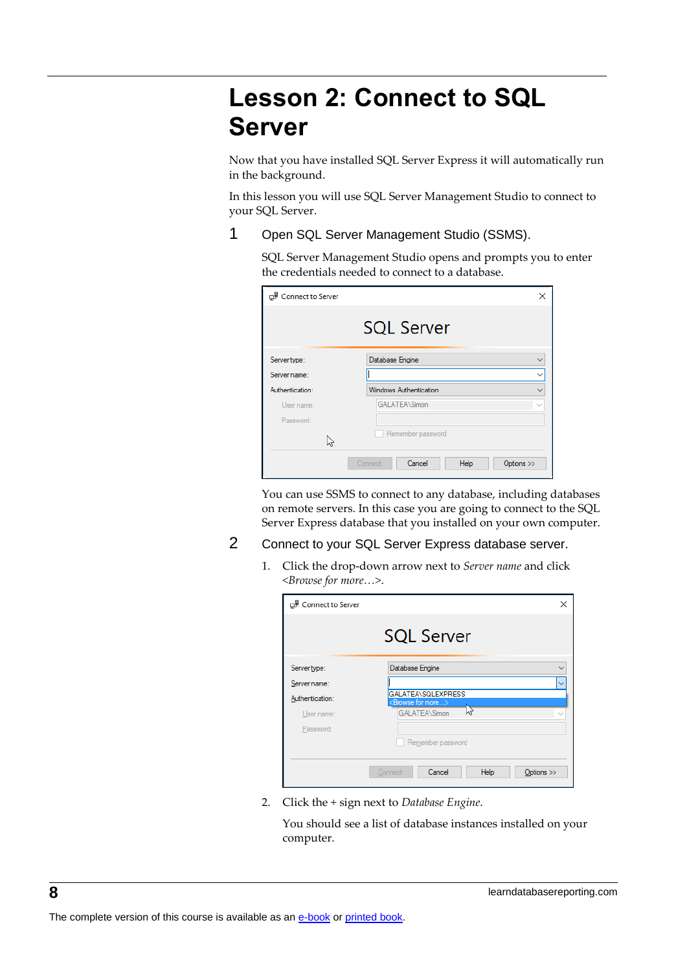## **Lesson 2: Connect to SQL Server**

Now that you have installed SQL Server Express it will automatically run in the background.

In this lesson you will use SQL Server Management Studio to connect to your SQL Server.

1 Open SQL Server Management Studio (SSMS).

SQL Server Management Studio opens and prompts you to enter the credentials needed to connect to a database.

| Connect to Server | $\times$                                |
|-------------------|-----------------------------------------|
|                   | <b>SQL Server</b>                       |
| Server type:      | Database Engine<br>$\checkmark$         |
| Server name:      | $\checkmark$                            |
| Authentication:   | Windows Authentication<br>$\checkmark$  |
| User name:        | <b>GALATEA\Simon</b><br>$\checkmark$    |
| Password:         |                                         |
|                   | Remember password                       |
|                   | Cancel<br>Help<br>Options >><br>Connect |

You can use SSMS to connect to any database, including databases on remote servers. In this case you are going to connect to the SQL Server Express database that you installed on your own computer.

## 2 Connect to your SQL Server Express database server.

1. Click the drop-down arrow next to *Server name* and click *<Browse for more…>*.

| Connect to Server | ×                                                      |  |  |  |
|-------------------|--------------------------------------------------------|--|--|--|
|                   | <b>SQL Server</b>                                      |  |  |  |
| Server type:      | Database Engine                                        |  |  |  |
| Server name:      | $\overline{\phantom{a}}$                               |  |  |  |
| Authentication:   | GALATEA\SQLEXPRESS<br><browse for="" more=""></browse> |  |  |  |
| User name:        | <b>GALATEA\Simon</b><br>M,                             |  |  |  |
| Password:         |                                                        |  |  |  |
| Remember password |                                                        |  |  |  |
|                   | Cancel<br>Help<br>Connect<br>Options >>                |  |  |  |

2. Click the *+* sign next to *Database Engine*.

You should see a list of database instances installed on your computer.